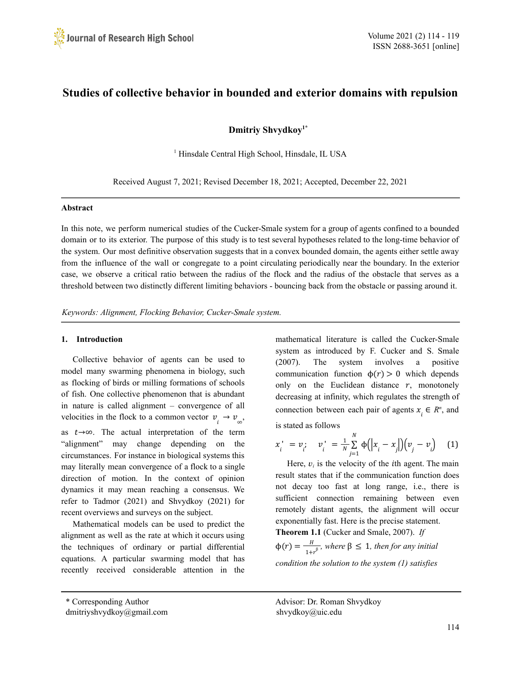# **Studies of collective behavior in bounded and exterior domains with repulsion**

**Dmitriy Shvydkoy 1\***

<sup>1</sup> Hinsdale Central High School, Hinsdale, IL USA

Received August 7, 2021; Revised December 18, 2021; Accepted, December 22, 2021

### **Abstract**

In this note, we perform numerical studies of the Cucker-Smale system for a group of agents confined to a bounded domain or to its exterior. The purpose of this study is to test several hypotheses related to the long-time behavior of the system. Our most definitive observation suggests that in a convex bounded domain, the agents either settle away from the influence of the wall or congregate to a point circulating periodically near the boundary. In the exterior case, we observe a critical ratio between the radius of the flock and the radius of the obstacle that serves as a threshold between two distinctly different limiting behaviors - bouncing back from the obstacle or passing around it.

*Keywords: Alignment, Flocking Behavior, Cucker-Smale system.*

## **1. Introduction**

Collective behavior of agents can be used to model many swarming phenomena in biology, such as flocking of birds or milling formations of schools of fish. One collective phenomenon that is abundant in nature is called alignment – convergence of all velocities in the flock to a common vector  $v_i \rightarrow v_{\infty}$ , as  $t \rightarrow \infty$ . The actual interpretation of the term "alignment" may change depending on the circumstances. For instance in biological systems this may literally mean convergence of a flock to a single direction of motion. In the context of opinion dynamics it may mean reaching a consensus. We refer to Tadmor (2021) and Shvydkoy (2021) for recent overviews and surveys on the subject.

Mathematical models can be used to predict the alignment as well as the rate at which it occurs using the techniques of ordinary or partial differential equations. A particular swarming model that has recently received considerable attention in the mathematical literature is called the Cucker-Smale system as introduced by F. Cucker and S. Smale (2007). The system involves a positive communication function  $\phi(r) > 0$  which depends only on the Euclidean distance  $r$ , monotonely decreasing at infinity, which regulates the strength of connection between each pair of agents  $x_i \in R^n$ , and is stated as follows

 $\overline{N}$ 

$$
x_i' = v_i; \quad v_i' = \frac{1}{N} \sum_{j=1}^N \phi(|x_i - x_j|)(v_j - v_i)
$$
 (1)

Here,  $v_i$  is the velocity of the *i*th agent. The main result states that if the communication function does not decay too fast at long range, i.e., there is sufficient connection remaining between even remotely distant agents, the alignment will occur exponentially fast. Here is the precise statement.

**Theorem 1.1** (Cucker and Smale, 2007). *If*

 $\Phi(r) = \frac{H}{\epsilon_0}$ , where  $\beta \leq 1$ , then for any initial  $\frac{n}{1+r^{\beta}}$ , where  $\beta \leq 1$ , *condition the solution to the system (1) satisfies*

\* Corresponding Author Advisor: Dr. Roman Shvydkoy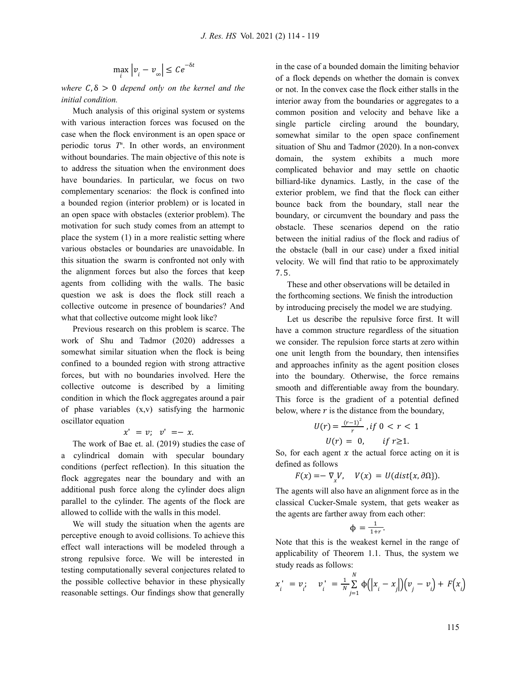$$
\max_{i} |v_{i} - v_{\infty}| \leq Ce^{-\delta t}
$$

*where*  $C, \delta > 0$  *depend only on the kernel and the initial condition.*

Much analysis of this original system or systems with various interaction forces was focused on the case when the flock environment is an open space or periodic torus *T n* . In other words, an environment without boundaries. The main objective of this note is to address the situation when the environment does have boundaries. In particular, we focus on two complementary scenarios: the flock is confined into a bounded region (interior problem) or is located in an open space with obstacles (exterior problem). The motivation for such study comes from an attempt to place the system (1) in a more realistic setting where various obstacles or boundaries are unavoidable. In this situation the swarm is confronted not only with the alignment forces but also the forces that keep agents from colliding with the walls. The basic question we ask is does the flock still reach a collective outcome in presence of boundaries? And what that collective outcome might look like?

Previous research on this problem is scarce. The work of Shu and Tadmor (2020) addresses a somewhat similar situation when the flock is being confined to a bounded region with strong attractive forces, but with no boundaries involved. Here the collective outcome is described by a limiting condition in which the flock aggregates around a pair of phase variables (x,v) satisfying the harmonic oscillator equation

 $x' = v; v' = -x.$ 

The work of Bae et. al. (2019) studies the case of a cylindrical domain with specular boundary conditions (perfect reflection). In this situation the flock aggregates near the boundary and with an additional push force along the cylinder does align parallel to the cylinder. The agents of the flock are allowed to collide with the walls in this model.

We will study the situation when the agents are perceptive enough to avoid collisions. To achieve this effect wall interactions will be modeled through a strong repulsive force. We will be interested in testing computationally several conjectures related to the possible collective behavior in these physically reasonable settings. Our findings show that generally in the case of a bounded domain the limiting behavior of a flock depends on whether the domain is convex or not. In the convex case the flock either stalls in the interior away from the boundaries or aggregates to a common position and velocity and behave like a single particle circling around the boundary, somewhat similar to the open space confinement situation of Shu and Tadmor (2020). In a non-convex domain, the system exhibits a much more complicated behavior and may settle on chaotic billiard-like dynamics. Lastly, in the case of the exterior problem, we find that the flock can either bounce back from the boundary, stall near the boundary, or circumvent the boundary and pass the obstacle. These scenarios depend on the ratio between the initial radius of the flock and radius of the obstacle (ball in our case) under a fixed initial velocity. We will find that ratio to be approximately 7. 5.

These and other observations will be detailed in the forthcoming sections. We finish the introduction by introducing precisely the model we are studying.

Let us describe the repulsive force first. It will have a common structure regardless of the situation we consider. The repulsion force starts at zero within one unit length from the boundary, then intensifies and approaches infinity as the agent position closes into the boundary. Otherwise, the force remains smooth and differentiable away from the boundary. This force is the gradient of a potential defined below, where  $r$  is the distance from the boundary,

$$
U(r) = \frac{(r-1)^2}{r}, \text{ if } 0 < r < 1
$$
\n
$$
U(r) = 0, \quad \text{ if } r \ge 1.
$$

So, for each agent  $x$  the actual force acting on it is defined as follows

$$
F(x) = - \nabla_x V, \quad V(x) = U(dist\{x, \partial\Omega\}).
$$

The agents will also have an alignment force as in the classical Cucker-Smale system, that gets weaker as the agents are farther away from each other:

$$
\Phi = \frac{1}{1+r}.
$$

Note that this is the weakest kernel in the range of applicability of Theorem 1.1. Thus, the system we study reads as follows:

$$
x_i' = v_i; \quad v_i' = \frac{1}{N} \sum_{j=1}^{N} \phi(|x_i - x_j|)(v_j - v_i) + F(x_i)
$$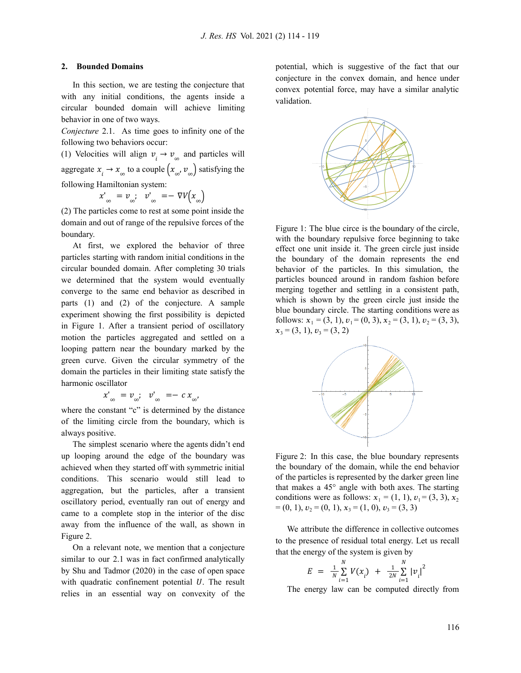#### **2. Bounded Domains**

In this section, we are testing the conjecture that with any initial conditions, the agents inside a circular bounded domain will achieve limiting behavior in one of two ways.

*Conjecture* 2.1. As time goes to infinity one of the following two behaviors occur:

(1) Velocities will align  $v_i \rightarrow v_\infty$  and particles will aggregate  $x_i \rightarrow x_\infty$  to a couple  $(x_\infty, v_\infty)$  satisfying the following Hamiltonian system:

 $x'_{\infty} = v_{\infty}; \quad v'_{\infty} = - \nabla V(x_{\infty})$ 

(2) The particles come to rest at some point inside the domain and out of range of the repulsive forces of the boundary.

At first, we explored the behavior of three particles starting with random initial conditions in the circular bounded domain. After completing 30 trials we determined that the system would eventually converge to the same end behavior as described in parts (1) and (2) of the conjecture. A sample experiment showing the first possibility is depicted in Figure 1. After a transient period of oscillatory motion the particles aggregated and settled on a looping pattern near the boundary marked by the green curve. Given the circular symmetry of the domain the particles in their limiting state satisfy the harmonic oscillator

 $x'_{\infty} = v_{\infty}; v'_{\infty} = - c x_{\infty}$ 

where the constant "c" is determined by the distance of the limiting circle from the boundary, which is always positive.

The simplest scenario where the agents didn't end up looping around the edge of the boundary was achieved when they started off with symmetric initial conditions. This scenario would still lead to aggregation, but the particles, after a transient oscillatory period, eventually ran out of energy and came to a complete stop in the interior of the disc away from the influence of the wall, as shown in Figure 2.

On a relevant note, we mention that a conjecture similar to our 2.1 was in fact confirmed analytically by Shu and Tadmor (2020) in the case of open space with quadratic confinement potential  $U$ . The result relies in an essential way on convexity of the potential, which is suggestive of the fact that our conjecture in the convex domain, and hence under convex potential force, may have a similar analytic validation.



Figure 1: The blue circe is the boundary of the circle, with the boundary repulsive force beginning to take effect one unit inside it. The green circle just inside the boundary of the domain represents the end behavior of the particles. In this simulation, the particles bounced around in random fashion before merging together and settling in a consistent path, which is shown by the green circle just inside the blue boundary circle. The starting conditions were as follows:  $x_1 = (3, 1), v_1 = (0, 3), x_2 = (3, 1), v_2 = (3, 3),$  $x_3 = (3, 1), v_3 = (3, 2)$ 



Figure 2: In this case, the blue boundary represents the boundary of the domain, while the end behavior of the particles is represented by the darker green line that makes a 45° angle with both axes. The starting conditions were as follows:  $x_1 = (1, 1), v_1 = (3, 3), x_2$  $= (0, 1), v_2 = (0, 1), x_3 = (1, 0), v_3 = (3, 3)$ 

We attribute the difference in collective outcomes to the presence of residual total energy. Let us recall that the energy of the system is given by

$$
E = \frac{1}{N} \sum_{i=1}^{N} V(x_i) + \frac{1}{2N} \sum_{i=1}^{N} |v_i|^2
$$

The energy law can be computed directly from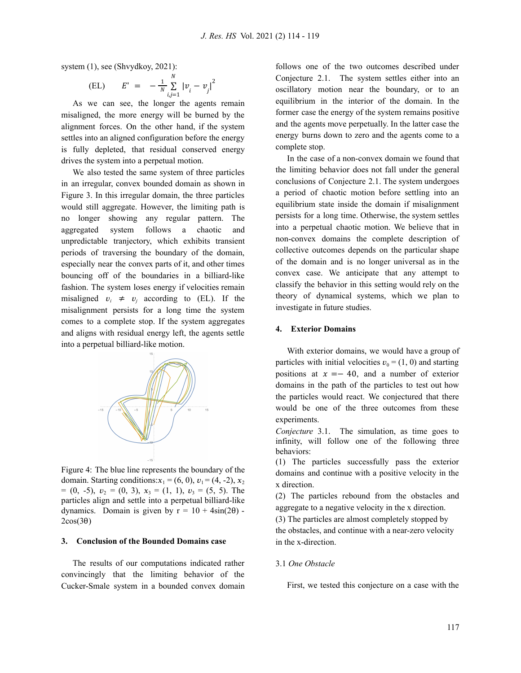system (1), see (Shvydkoy, 2021):

(EL) 
$$
E' = -\frac{1}{N} \sum_{i,j=1}^{N} |v_i - v_j|^2
$$

As we can see, the longer the agents remain misaligned, the more energy will be burned by the alignment forces. On the other hand, if the system settles into an aligned configuration before the energy is fully depleted, that residual conserved energy drives the system into a perpetual motion.

We also tested the same system of three particles in an irregular, convex bounded domain as shown in Figure 3. In this irregular domain, the three particles would still aggregate. However, the limiting path is no longer showing any regular pattern. The aggregated system follows a chaotic and unpredictable tranjectory, which exhibits transient periods of traversing the boundary of the domain, especially near the convex parts of it, and other times bouncing off of the boundaries in a billiard-like fashion. The system loses energy if velocities remain misaligned  $v_i \neq v_i$  according to (EL). If the misalignment persists for a long time the system comes to a complete stop. If the system aggregates and aligns with residual energy left, the agents settle into a perpetual billiard-like motion.



Figure 4: The blue line represents the boundary of the domain. Starting conditions: $x_1 = (6, 0)$ ,  $v_1 = (4, -2)$ ,  $x_2$  $=(0, -5), v_2 = (0, 3), x_3 = (1, 1), v_3 = (5, 5).$  The particles align and settle into a perpetual billiard-like dynamics. Domain is given by  $r = 10 + 4\sin(2\theta)$ .  $2cos(3\theta)$ 

# **3. Conclusion of the Bounded Domains case**

The results of our computations indicated rather convincingly that the limiting behavior of the Cucker-Smale system in a bounded convex domain follows one of the two outcomes described under Conjecture 2.1. The system settles either into an oscillatory motion near the boundary, or to an equilibrium in the interior of the domain. In the former case the energy of the system remains positive and the agents move perpetually. In the latter case the energy burns down to zero and the agents come to a complete stop.

In the case of a non-convex domain we found that the limiting behavior does not fall under the general conclusions of Conjecture 2.1. The system undergoes a period of chaotic motion before settling into an equilibrium state inside the domain if misalignment persists for a long time. Otherwise, the system settles into a perpetual chaotic motion. We believe that in non-convex domains the complete description of collective outcomes depends on the particular shape of the domain and is no longer universal as in the convex case. We anticipate that any attempt to classify the behavior in this setting would rely on the theory of dynamical systems, which we plan to investigate in future studies.

#### **4. Exterior Domains**

With exterior domains, we would have a group of particles with initial velocities  $v_0 = (1, 0)$  and starting positions at  $x = -40$ , and a number of exterior domains in the path of the particles to test out how the particles would react. We conjectured that there would be one of the three outcomes from these experiments.

*Conjecture* 3.1. The simulation, as time goes to infinity, will follow one of the following three behaviors:

(1) The particles successfully pass the exterior domains and continue with a positive velocity in the x direction.

(2) The particles rebound from the obstacles and aggregate to a negative velocity in the x direction.

(3) The particles are almost completely stopped by the obstacles, and continue with a near-zero velocity in the x-direction.

## 3.1 *One Obstacle*

First, we tested this conjecture on a case with the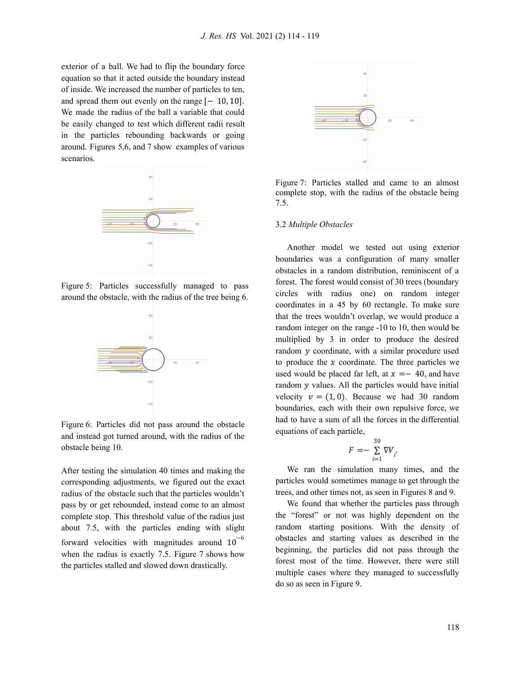exterior of a ball. We had to flip the boundary force equation so that it acted outside the boundary instead of inside. We increased the number of particles to ten, and spread them out evenly on the range  $[-10, 10]$ . We made the radius of the ball a variable that could be easily changed to test which different radii result in the particles rebounding backwards or going around. Figures 5,6, and 7 show examples of various scenarios.



Figure 5: Particles successfully managed to pass around the obstacle, with the radius of the tree being 6.



Figure 6: Particles did not pass around the obstacle and instead got turned around, with the radius of the obstacle being 10.

After testing the simulation 40 times and making the corresponding adjustments, we figured out the exact radius of the obstacle such that the particles wouldn't pass by or get rebounded, instead come to an almost complete stop. This threshold value of the radius just about 7.5, with the particles ending with slight forward velocities with magnitudes around  $10^{-6}$ when the radius is exactly 7.5. Figure 7 shows how the particles stalled and slowed down drastically.



Figure 7: Particles stalled and came to an almost complete stop, with the radius of the obstacle being 7.5.

## 3.2 *Multiple Obstacles*

Another model we tested out using exterior boundaries was a configuration of many smaller obstacles in a random distribution, reminiscent of a forest. The forest would consist of 30 trees (boundary circles with radius one) on random integer coordinates in a 45 by 60 rectangle. To make sure that the trees wouldn't overlap, we would produce a random integer on the range -10 to 10, then would be multiplied by 3 in order to produce the desired random  $y$  coordinate, with a similar procedure used to produce the  $x$  coordinate. The three particles we used would be placed far left, at  $x = -40$ , and have random  $\nu$  values. All the particles would have initial velocity  $v = (1, 0)$ . Because we had 30 random boundaries, each with their own repulsive force, we had to have a sum of all the forces in the differential equations of each particle,

$$
F = -\sum_{i=1}^{30} \nabla V_i.
$$

We ran the simulation many times, and the particles would sometimes manage to get through the trees, and other times not, as seen in Figures 8 and 9.

We found that whether the particles pass through the "forest" or not was highly dependent on the random starting positions. With the density of obstacles and starting values as described in the beginning, the particles did not pass through the forest most of the time. However, there were still multiple cases where they managed to successfully do so as seen in Figure 9.